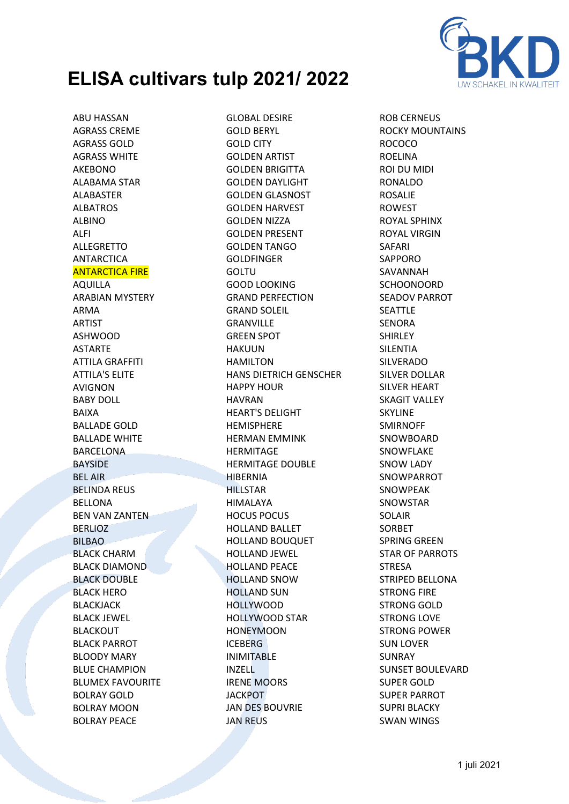

ABU HASSAN AGRASS CREME AGRASS GOLD AGRASS WHITE AKEBONO ALABAMA STAR ALABASTER ALBATROS ALBINO ALFI ALLEGRETTO ANTARCTICA ANTARCTICA FIRE AQUILLA ARABIAN MYSTERY ARMA ARTIST ASHWOOD ASTARTE ATTILA GRAFFITI ATTILA'S ELITE AVIGNON BABY DOLL BAIXA BALLADE GOLD BALLADE WHITE **BARCELONA** BAYSIDE BEL AIR BELINDA REUS BELLONA BEN VAN ZANTEN **BERLIOZ** BILBAO BLACK CHARM BLACK DIAMOND **BLACK DOUBLE** BLACK HERO BLACKJACK BLACK JEWEL BLACKOUT BLACK PARROT BLOODY MARY BLUE CHAMPION BLUMEX FAVOURITE BOLRAY GOLD BOLRAY MOON BOLRAY PEACE

GLOBAL DESIRE GOLD BERYL GOLD CITY GOLDEN ARTIST GOLDEN BRIGITTA GOLDEN DAYLIGHT GOLDEN GLASNOST GOLDEN HARVEST GOLDEN NIZZA GOLDEN PRESENT GOLDEN TANGO GOLDFINGER GOLTU GOOD LOOKING GRAND PERFECTION GRAND SOLEIL GRANVILLE GREEN SPOT HAKUUN HAMILTON HANS DIETRICH GENSCHER HAPPY HOUR HAVRAN HEART'S DELIGHT **HEMISPHERE** HERMAN EMMINK HERMITAGE HERMITAGE DOUBLE HIBERNIA **HILLSTAR** HIMALAYA HOCUS POCUS HOLLAND BALLET HOLLAND BOUQUET HOLLAND JEWEL HOLLAND PEACE HOLLAND SNOW HOLLAND SUN HOLLYWOOD HOLLYWOOD STAR **HONEYMOON** ICEBERG INIMITABLE INZELL IRENE MOORS **JACKPOT** JAN DES BOUVRIE JAN REUS

ROB CERNEUS ROCKY MOUNTAINS ROCOCO ROELINA ROI DU MIDI RONALDO ROSALIE ROWEST ROYAL SPHINX ROYAL VIRGIN SAFARI SAPPORO SAVANNAH SCHOONOORD SEADOV PARROT SEATTLE **SENORA** SHIRLEY SILENTIA SILVERADO SILVER DOLLAR SILVER HEART SKAGIT VALLEY SKYLINE SMIRNOFF **SNOWBOARD** SNOWFLAKE SNOW LADY SNOWPARROT SNOWPEAK SNOWSTAR SOLAIR SORBET SPRING GREEN STAR OF PARROTS **STRESA** STRIPED BELLONA STRONG FIRE STRONG GOLD STRONG LOVE STRONG POWER SUN LOVER SUNRAY SUNSET BOULEVARD SUPER GOLD SUPER PARROT SUPRI BLACKY SWAN WINGS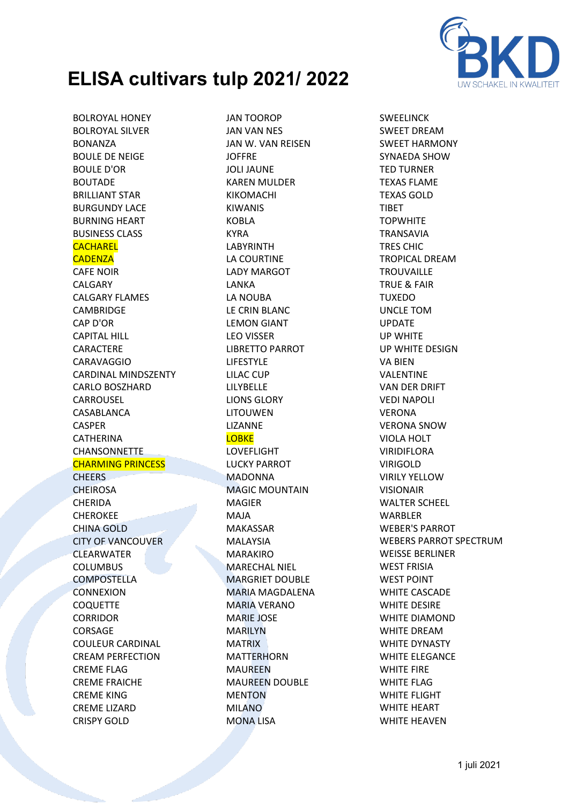

BOLROYAL HONEY BOLROYAL SILVER BONANZA BOULE DE NEIGE BOULE D'OR BOUTADE BRILLIANT STAR BURGUNDY LACE BURNING HEART BUSINESS CLASS **CACHAREL CADENZA** CAFE NOIR CALGARY CALGARY FLAMES CAMBRIDGE CAP D'OR CAPITAL HILL CARACTERE CARAVAGGIO CARDINAL MINDSZENTY CARLO BOSZHARD CARROUSEL CASABLANCA CASPER **CATHERINA** CHANSONNETTE CHARMING PRINCESS **CHEERS CHEIROSA** CHERIDA CHEROKEE CHINA GOLD CITY OF VANCOUVER **CLEARWATER** COLUMBUS COMPOSTELLA **CONNEXION COQUETTE** CORRIDOR CORSAGE COULEUR CARDINAL CREAM PERFECTION CREME FLAG CREME FRAICHE CREME KING CREME LIZARD

CRISPY GOLD

JAN TOOROP JAN VAN NES JAN W. VAN REISEN JOFFRE JOLI JAUNE KAREN MULDER KIKOMACHI KIWANIS KOBLA KYRA LABYRINTH LA COURTINE LADY MARGOT LANKA LA NOUBA LE CRIN BLANC LEMON GIANT LEO VISSER LIBRETTO PARROT LIFESTYLE LILAC CUP LILYBELLE LIONS GLORY LITOUWEN LIZANNE **LOBKE** LOVEFLIGHT LUCKY PARROT MADONNA MAGIC MOUNTAIN MAGIER MAJA MAKASSAR MALAYSIA MARAKIRO MARECHAL NIEL MARGRIET DOUBLE MARIA MAGDALENA MARIA VERANO MARIE JOSE MARILYN MATRIX MATTERHORN MAUREEN MAUREEN DOUBLE MENTON MILANO MONA LISA

SWEELINCK SWEET DREAM SWEET HARMONY SYNAEDA SHOW TED TURNER TEXAS FLAME TEXAS GOLD **TIRFT TOPWHITE** TRANSAVIA TRES CHIC TROPICAL DREAM **TROUVAILLE** TRUE & FAIR TUXEDO UNCLE TOM UPDATE UP WHITE UP WHITE DESIGN VA BIEN VALENTINE VAN DER DRIFT VEDI NAPOLI VERONA VERONA SNOW VIOLA HOLT VIRIDIFLORA VIRIGOLD VIRILY YELLOW VISIONAIR WALTER SCHEEL WARBLER WEBER'S PARROT WEBERS PARROT SPECTRUM WEISSE BERLINER WEST FRISIA WEST POINT WHITE CASCADE WHITE DESIRE WHITE DIAMOND WHITE DREAM WHITE DYNASTY WHITE ELEGANCE WHITE FIRE WHITE FLAG WHITE FLIGHT WHITE HEART WHITE HEAVEN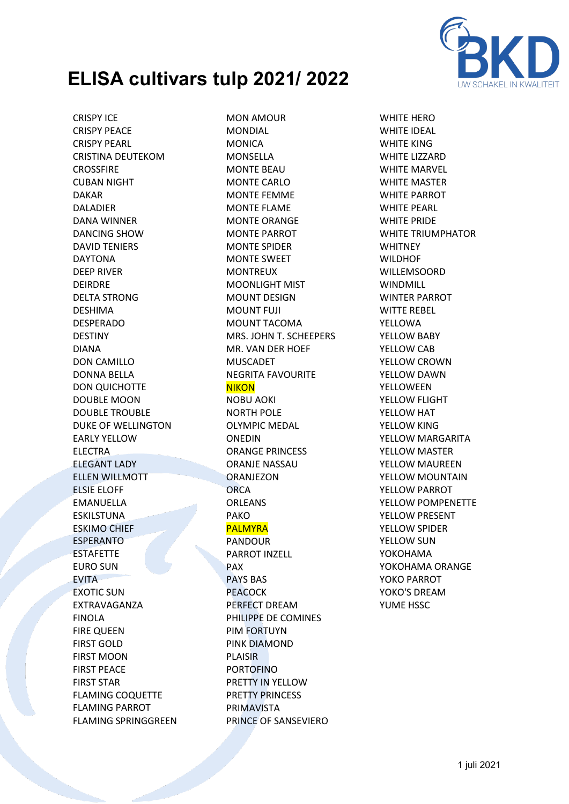

CRISPY ICE CRISPY PEACE CRISPY PEARL CRISTINA DEUTEKOM **CROSSFIRE** CUBAN NIGHT DAKAR DALADIER DANA WINNER DANCING SHOW DAVID TENIERS DAYTONA DEEP RIVER DEIRDRE DELTA STRONG DESHIMA DESPERADO DESTINY DIANA DON CAMILLO DONNA BELLA DON QUICHOTTE DOUBLE MOON DOUBLE TROUBLE DUKE OF WELLINGTON EARLY YELLOW ELECTRA ELEGANT LADY ELLEN WILLMOTT ELSIE ELOFF EMANUELLA ESKILSTUNA ESKIMO CHIEF ESPERANTO **ESTAFETTE** EURO SUN EVITA EXOTIC SUN EXTRAVAGANZA FINOLA FIRE QUEEN FIRST GOLD FIRST MOON FIRST PEACE FIRST STAR FLAMING COQUETTE FLAMING PARROT FLAMING SPRINGGREEN

MON AMOUR MONDIAL MONICA MONSELLA MONTE BEAU MONTE CARLO MONTE FEMME MONTE FLAME MONTE ORANGE MONTE PARROT MONTE SPIDER MONTE SWEET MONTREUX MOONLIGHT MIST MOUNT DESIGN MOUNT FUJI MOUNT TACOMA MRS. JOHN T. SCHEEPERS MR. VAN DER HOEF MUSCADET NEGRITA FAVOURITE **NIKON** NOBU AOKI NORTH POLE OLYMPIC MEDAL ONEDIN ORANGE PRINCESS ORANJE NASSAU **ORANJEZON ORCA** ORLEANS PAKO PALMYRA PANDOUR PARROT INZELL PAX PAYS BAS PEACOCK PERFECT DREAM PHILIPPE DE COMINES PIM FORTUYN PINK DIAMOND PLAISIR PORTOFINO PRETTY IN YELLOW PRETTY PRINCESS PRIMAVISTA PRINCE OF SANSEVIERO

WHITE HERO WHITE IDEAL WHITE KING WHITE LIZZARD WHITE MARVEL WHITE MASTER WHITE PARROT WHITE PEARL WHITE PRIDE WHITE TRIUMPHATOR **WHITNEY** WILDHOF WILLEMSOORD WINDMILL WINTER PARROT WITTE REBEL YELLOWA YELLOW BABY YELLOW CAB YELLOW CROWN YELLOW DAWN YELLOWEEN YELLOW FLIGHT YELLOW HAT YELLOW KING YELLOW MARGARITA YELLOW MASTER YELLOW MAUREEN YELLOW MOUNTAIN YELLOW PARROT YELLOW POMPENETTE YELLOW PRESENT YELLOW SPIDER YELLOW SUN YOKOHAMA YOKOHAMA ORANGE YOKO PARROT YOKO'S DREAM YUME HSSC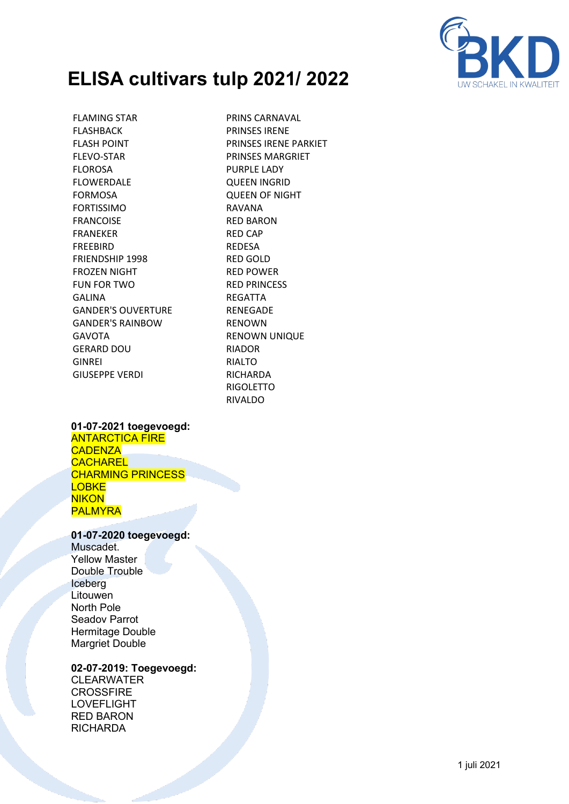

FLAMING STAR FLASHBACK FLASH POINT FLEVO-STAR FLOROSA FLOWERDALE FORMOSA FORTISSIMO FRANCOISE FRANEKER FREEBIRD FRIENDSHIP 1998 FROZEN NIGHT FUN FOR TWO GALINA GANDER'S OUVERTURE GANDER'S RAINBOW GAVOTA GERARD DOU GINREI GIUSEPPE VERDI

PRINS CARNAVAL PRINSES IRENE PRINSES IRENE PARKIET PRINSES MARGRIET PURPLE LADY QUEEN INGRID QUEEN OF NIGHT RAVANA RED BARON RED CAP REDESA RED GOLD RED POWER RED PRINCESS REGATTA RENEGADE RENOWN RENOWN UNIQUE RIADOR RIALTO **RICHARDA** RIGOLETTO RIVALDO

### **01-07-2021 toegevoegd:**

ANTARCTICA FIRE **CADENZA CACHAREL** CHARMING PRINCESS **LOBKE NIKON** PALMYRA

#### **01-07-2020 toegevoegd:**

Muscadet. Yellow Master Double Trouble Iceberg **Litouwen** North Pole Seadov Parrot Hermitage Double Margriet Double

### **02-07-2019: Toegevoegd:**

CLEARWATER **CROSSFIRE** LOVEFLIGHT RED BARON **RICHARDA**